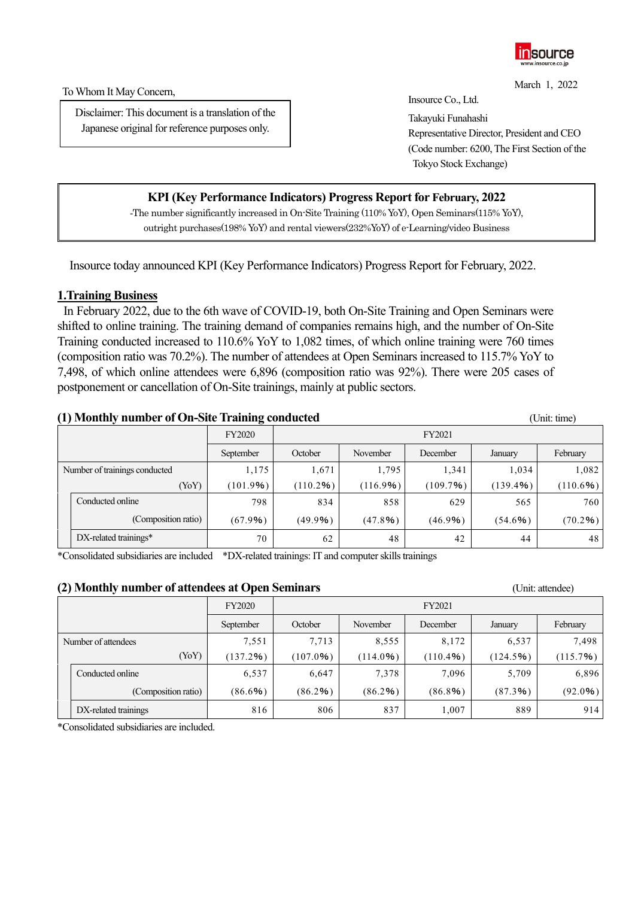

To Whom It May Concern,

Disclaimer: This document is a translation of the Japanese original for reference purposes only.

March 1, 2022 Insource Co., Ltd.

Takayuki Funahashi Representative Director, President and CEO (Code number: 6200, The First Section of the Tokyo Stock Exchange)

# **KPI (Key Performance Indicators) Progress Report for February, 2022**

-The number significantly increased in On-Site Training (110% YoY), Open Seminars(115% YoY), outright purchases(198% YoY) and rental viewers(232%YoY) of e-Learning/video Business

Insource today announced KPI (Key Performance Indicators) Progress Report for February, 2022.

#### **1.Training Business**

In February 2022, due to the 6th wave of COVID-19, both On-Site Training and Open Seminars were shifted to online training. The training demand of companies remains high, and the number of On-Site Training conducted increased to 110.6% YoY to 1,082 times, of which online training were 760 times (composition ratio was 70.2%). The number of attendees at Open Seminars increased to 115.7% YoY to 7,498, of which online attendees were 6,896 (composition ratio was 92%). There were 205 cases of postponement or cancellation of On-Site trainings, mainly at public sectors.

### **(1) Monthly number of On-Site Training conducted** (Unit: time)

|                               |                          | <b>FY2020</b> |             |             | FY2021   |           |             |
|-------------------------------|--------------------------|---------------|-------------|-------------|----------|-----------|-------------|
|                               |                          | September     | October     | November    | December | January   | February    |
| Number of trainings conducted |                          | 1,175         | 1,671       | 1,795       | 1,341    | 1,034     | 1,082       |
|                               | (YoY)                    | (101.9%)      | $(110.2\%)$ | $(116.9\%)$ | (109.7%) | (139.4% ) | $(110.6\%)$ |
|                               | Conducted online         | 798           | 834         | 858         | 629      | 565       | 760         |
|                               | (Composition ratio)      | (67.9%)       | (49.9%)     | (47.8%)     | (46.9%   | (54.6%)   | (70.2%)     |
|                               | $DX$ -related trainings* | 70            | 62          | 48          | 42       | 44        | 48          |

\*Consolidated subsidiaries are included \*DX-related trainings: IT and computer skills trainings

#### **(2) Monthly number of attendees at Open Seminars** (Unit: attendee)

| $\sim$              |                      |               |         |             |             |          |          |
|---------------------|----------------------|---------------|---------|-------------|-------------|----------|----------|
|                     |                      | <b>FY2020</b> |         |             | FY2021      |          |          |
|                     |                      | September     | October | November    | December    | January  | February |
| Number of attendees |                      | 7,551         | 7,713   | 8,555       | 8,172       | 6,537    | 7,498    |
|                     | (YoY)                | (137.2%)      | (107.0% | $(114.0\%)$ | $(110.4\%)$ | (124.5%) | (115.7%) |
|                     | Conducted online     | 6,537         | 6,647   | 7,378       | 7,096       | 5,709    | 6,896    |
|                     | (Composition ratio)  | (86.6%)       | (86.2%) | (86.2%)     | (86.8%)     | (87.3%)  | (92.0%   |
|                     | DX-related trainings | 816           | 806     | 837         | 1,007       | 889      | 914      |

\*Consolidated subsidiaries are included.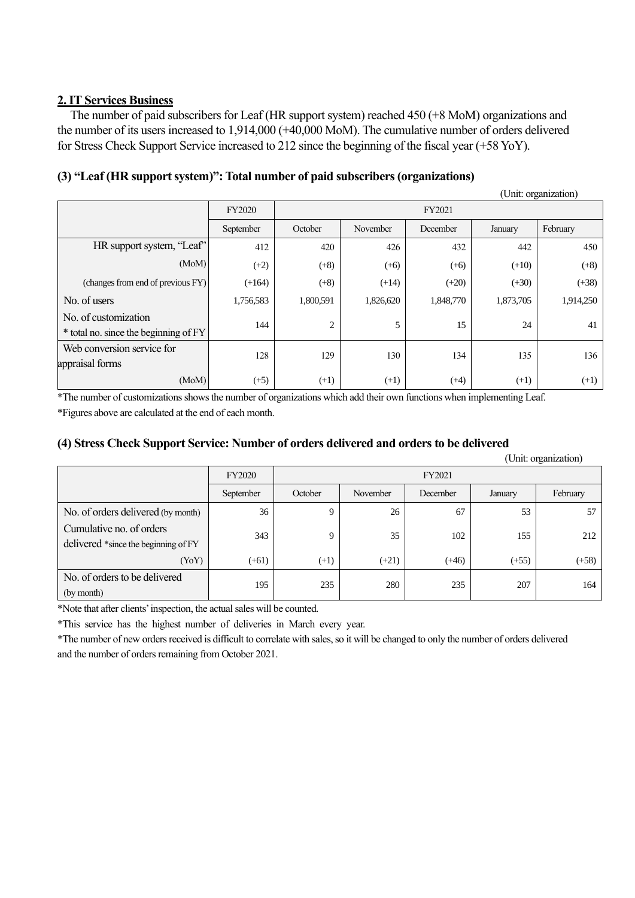## **2. IT Services Business**

The number of paid subscribers for Leaf (HR support system) reached 450 (+8 MoM) organizations and the number of its users increased to 1,914,000 (+40,000 MoM). The cumulative number of orders delivered for Stress Check Support Service increased to 212 since the beginning of the fiscal year (+58 YoY).

## **(3) "Leaf (HR support system)": Total number of paid subscribers (organizations)**

|                                                               |               |           |           |           |           | (Unit: organization) |
|---------------------------------------------------------------|---------------|-----------|-----------|-----------|-----------|----------------------|
|                                                               | <b>FY2020</b> |           |           | FY2021    |           |                      |
|                                                               | September     | October   | November  | December  | January   | February             |
| HR support system, "Leaf"                                     | 412           | 420       | 426       | 432       | 442       | 450                  |
| (MoM)                                                         | $(+2)$        | $(+8)$    | $(+6)$    | $(+6)$    | $(+10)$   | $(+8)$               |
| (changes from end of previous FY)                             | $(+164)$      | $(+8)$    | $(+14)$   | $(+20)$   | $(+30)$   | $(+38)$              |
| No. of users                                                  | 1,756,583     | 1,800,591 | 1,826,620 | 1,848,770 | 1,873,705 | 1,914,250            |
| No. of customization<br>* total no. since the beginning of FY | 144           | 2         | 5         | 15        | 24        | 41                   |
| Web conversion service for<br>appraisal forms                 | 128           | 129       | 130       | 134       | 135       | 136                  |
| (MoM)                                                         | $(+5)$        | $(+1)$    | $(+1)$    | $(+4)$    | $(+1)$    | $(+1)$               |

\*The number of customizations shows the number of organizations which add their own functions when implementing Leaf. \*Figures above are calculated at the end of each month.

#### **(4) Stress Check Support Service: Number of orders delivered and orders to be delivered**

|                                                                  |               |         |          |          |         | (Unit: organization) |  |
|------------------------------------------------------------------|---------------|---------|----------|----------|---------|----------------------|--|
|                                                                  | <b>FY2020</b> |         | FY2021   |          |         |                      |  |
|                                                                  | September     | October | November | December | January | February             |  |
| No. of orders delivered (by month)                               | 36            | 9       | 26       | 67       | 53      | 57                   |  |
| Cumulative no. of orders<br>delivered *since the beginning of FY | 343           | 9       | 35       | 102      | 155     | 212                  |  |
| (YoY)                                                            | $(+61)$       | $(+1)$  | $(+21)$  | $(+46)$  | $(+55)$ | $(+58)$              |  |
| No. of orders to be delivered<br>(by month)                      | 195           | 235     | 280      | 235      | 207     | 164                  |  |

\*Note that after clients' inspection, the actual sales will be counted.

\*This service has the highest number of deliveries in March every year.

\*The number of new orders received is difficult to correlate with sales, so it will be changed to only the number of orders delivered and the number of orders remaining from October 2021.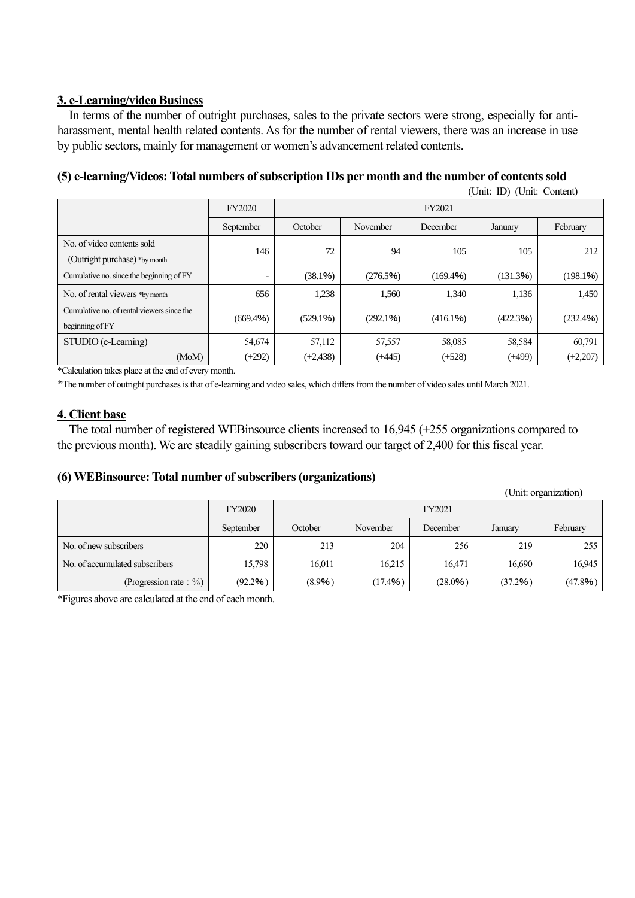# **3. e-Learning/video Business**

In terms of the number of outright purchases, sales to the private sectors were strong, especially for antiharassment, mental health related contents. As for the number of rental viewers, there was an increase in use by public sectors, mainly for management or women's advancement related contents.

# **(5) e-learning/Videos: Total numbers of subscription IDs per month and the number of contents sold**

|                                            |                          |             |          |          | (Unit: ID) (Unit: Content) |            |  |  |
|--------------------------------------------|--------------------------|-------------|----------|----------|----------------------------|------------|--|--|
|                                            | FY2020                   |             | FY2021   |          |                            |            |  |  |
|                                            | September                | October     | November | December | January                    | February   |  |  |
| No. of video contents sold                 |                          |             |          |          |                            |            |  |  |
| (Outright purchase) *by month              | 146                      | 72          | 94       | 105      | 105                        | 212        |  |  |
| Cumulative no. since the beginning of FY   | $\overline{\phantom{a}}$ | (38.1%)     | (276.5%) | (169.4%) | (131.3%)                   | (198.1%)   |  |  |
| No. of rental viewers *by month            | 656                      | 1,238       | 1,560    | 1,340    | 1,136                      | 1,450      |  |  |
| Cumulative no. of rental viewers since the | (669.4%)                 |             | (292.1%) | (416.1%) | (422.3%)                   |            |  |  |
| beginning of FY                            |                          | (529.1%)    |          |          |                            | (232.4%)   |  |  |
| STUDIO (e-Learning)                        | 54,674                   | 57,112      | 57,557   | 58,085   | 58,584                     | 60,791     |  |  |
| (MoM)                                      | $(+292)$                 | $(+2, 438)$ | $(+445)$ | $(+528)$ | $(+499)$                   | $(+2,207)$ |  |  |

\*Calculation takes place at the end of every month.

\*The number of outright purchases is that of e-learning and video sales, which differs from the number of video sales until March 2021.

### **4. Client base**

The total number of registered WEBinsource clients increased to 16,945 (+255 organizations compared to the previous month). We are steadily gaining subscribers toward our target of 2,400 for this fiscal year.

## **(6) WEBinsource: Total number of subscribers (organizations)**

|                                |               | (Unit: organization) |          |          |         |          |
|--------------------------------|---------------|----------------------|----------|----------|---------|----------|
|                                | <b>FY2020</b> | FY2021               |          |          |         |          |
|                                | September     | October              | November | December | January | February |
| No. of new subscribers         | 220           | 213                  | 204      | 256      | 219     | 255      |
| No. of accumulated subscribers | 15,798        | 16,011               | 16,215   | 16,471   | 16,690  | 16,945   |
| (Progression rate : $\%$ )     | (92.2%)       | (8.9%)               | (17.4%)  | (28.0%)  | (37.2%) | (47.8%)  |

\*Figures above are calculated at the end of each month.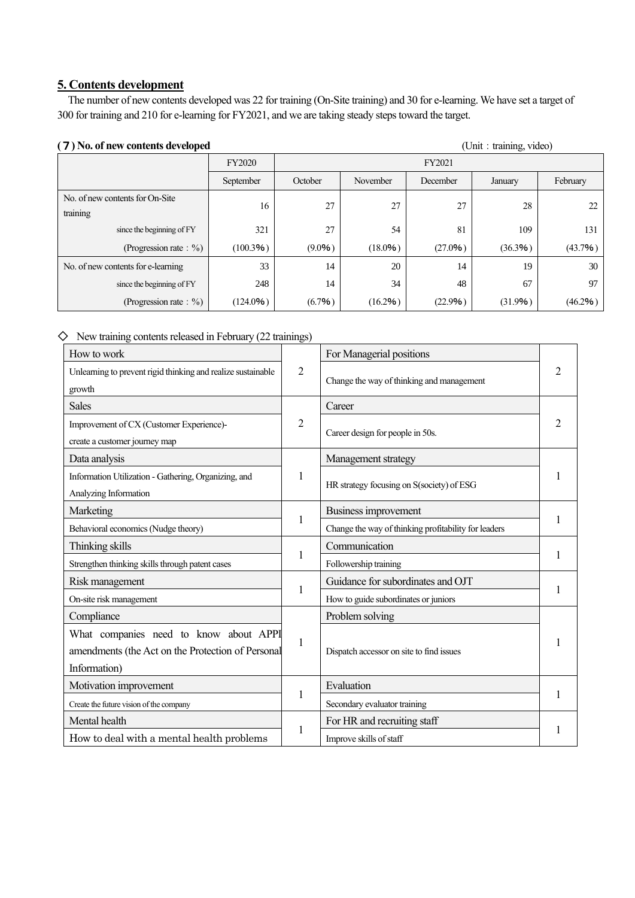### **5. Contents development**

The number of new contents developed was 22 for training (On-Site training) and 30 for e-learning. We have set a target of 300 for training and 210 for e-learning for FY2021, and we are taking steady steps toward the target.

#### (7) No. of new contents developed (Unit: training, video)

FY2020 FY2021 September October November December January February No. of new contents for On-Site training 16 27 27 27 27 28 22 since the beginning of FY 321 27 54 81 109 131 (Progression rate: %) (100.3%) (9.0%) (18.0%) (27.0%) (36.3%) (43.7%) No. of new contents for e-learning 133 14 20 14 19 30 since the beginning of FY 248  $14$  34 48 67 97 (Progression rate: %)  $(124.0\%)$   $(6.7\%)$   $(16.2\%)$   $(22.9\%)$   $(31.9\%)$   $(46.2\%)$ 

 $\diamondsuit$  New training contents released in February (22 trainings)

| How to work                                                            |                | For Managerial positions                             |   |  |
|------------------------------------------------------------------------|----------------|------------------------------------------------------|---|--|
| Unlearning to prevent rigid thinking and realize sustainable<br>growth | $\overline{2}$ | Change the way of thinking and management            | 2 |  |
| <b>Sales</b>                                                           |                | Career                                               |   |  |
| Improvement of CX (Customer Experience)-                               | $\overline{2}$ |                                                      | 2 |  |
| create a customer journey map                                          |                | Career design for people in 50s.                     |   |  |
| Data analysis                                                          |                | Management strategy                                  |   |  |
| Information Utilization - Gathering, Organizing, and                   | 1              |                                                      |   |  |
| Analyzing Information                                                  |                | HR strategy focusing on S(society) of ESG            |   |  |
| Marketing                                                              |                | Business improvement                                 |   |  |
| Behavioral economics (Nudge theory)                                    | 1              | Change the way of thinking profitability for leaders |   |  |
| Thinking skills                                                        |                | Communication                                        |   |  |
| Strengthen thinking skills through patent cases                        | 1              | Followership training                                |   |  |
| Risk management                                                        |                | Guidance for subordinates and OJT                    |   |  |
| On-site risk management                                                | $\mathbf{1}$   | How to guide subordinates or juniors                 |   |  |
| Compliance                                                             |                | Problem solving                                      |   |  |
| What companies need to know about APPI                                 |                |                                                      |   |  |
| amendments (the Act on the Protection of Personal                      | 1              | Dispatch accessor on site to find issues             |   |  |
| Information)                                                           |                |                                                      |   |  |
| Motivation improvement                                                 |                | Evaluation                                           |   |  |
| Create the future vision of the company                                | 1              | Secondary evaluator training                         |   |  |
| Mental health                                                          |                | For HR and recruiting staff                          |   |  |
| How to deal with a mental health problems                              | 1              | Improve skills of staff                              |   |  |